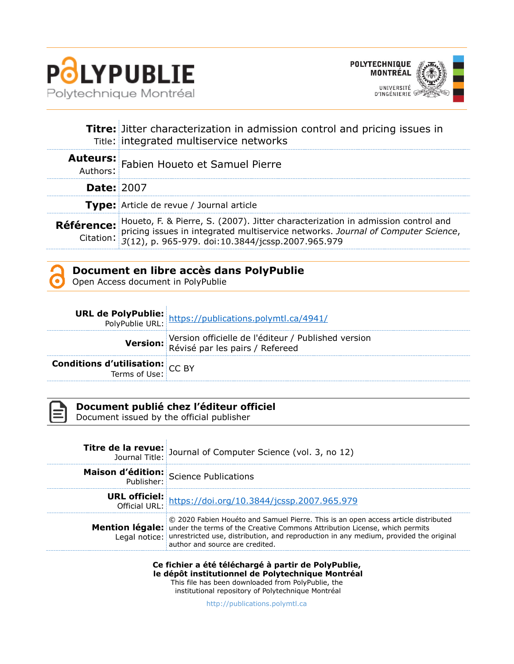



|                   | <b>Titre:</b> Jitter characterization in admission control and pricing issues in<br>Title: integrated multiservice networks                                                                                                               |  |  |
|-------------------|-------------------------------------------------------------------------------------------------------------------------------------------------------------------------------------------------------------------------------------------|--|--|
|                   | Auteurs: Fabien Houeto et Samuel Pierre                                                                                                                                                                                                   |  |  |
| <b>Date: 2007</b> |                                                                                                                                                                                                                                           |  |  |
|                   | <b>Type:</b> Article de revue / Journal article                                                                                                                                                                                           |  |  |
|                   | <b>Référence:</b> Houeto, F. & Pierre, S. (2007). Jitter characterization in admission control and<br>Citation: pricing issues in integrated multiservice networks. Journal of Computer Science,<br>Citation: 3(12), p. 965-979. doi:10.3 |  |  |



Open Access document in PolyPublie

|                                                           | <b>URL de PolyPublie:</b> https://publications.polymtl.ca/4941/<br>PolyPublie URL: https://publications.polymtl.ca/4941/ |
|-----------------------------------------------------------|--------------------------------------------------------------------------------------------------------------------------|
|                                                           | Version officielle de l'éditeur / Published version<br>Révisé par les pairs / Refereed                                   |
| <b>Conditions d'utilisation:</b> $CC$ BY<br>Terms of Use: |                                                                                                                          |



# **Document publié chez l'éditeur officiel**

Document issued by the official publisher

| <b>Titre de la revue:</b> Journal of Computer Science (vol. 3, no 12)<br>Journal Title:                                                                                                                                                                                                                                        |  |
|--------------------------------------------------------------------------------------------------------------------------------------------------------------------------------------------------------------------------------------------------------------------------------------------------------------------------------|--|
| <b>Maison d'édition:</b> Science Publications                                                                                                                                                                                                                                                                                  |  |
| <b>URL officiel:</b><br>Official URL: https://doi.org/10.3844/jcssp.2007.965.979                                                                                                                                                                                                                                               |  |
| © 2020 Fabien Houéto and Samuel Pierre. This is an open access article distributed <b>Mention légale:</b> under the terms of the Creative Commons Attribution License, which permits<br>Legal notice: unrestricted use, distribution, and reproduction in any medium, provided the original<br>author and source are credited. |  |

**Ce fichier a été téléchargé à partir de PolyPublie, le dépôt institutionnel de Polytechnique Montréal** This file has been downloaded from PolyPublie, the

institutional repository of Polytechnique Montréal

[http://publications.polymtl.ca](http://publications.polymtl.ca/)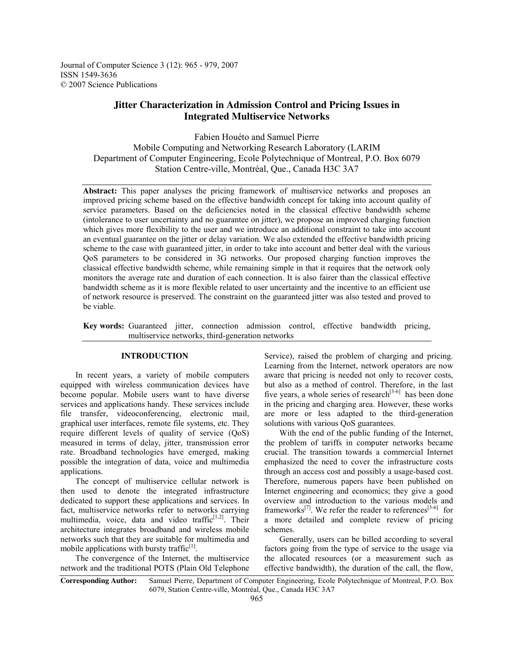Journal of Computer Science 3 (12): 965 - 979, 2007 ISSN 1549-3636 © 2007 Science Publications

## **Jitter Characterization in Admission Control and Pricing Issues in Integrated Multiservice Networks**

Fabien Houéto and Samuel Pierre Mobile Computing and Networking Research Laboratory (LARIM Department of Computer Engineering, Ecole Polytechnique of Montreal, P.O. Box 6079 Station Centre-ville, Montréal, Que., Canada H3C 3A7

**Abstract:** This paper analyses the pricing framework of multiservice networks and proposes an improved pricing scheme based on the effective bandwidth concept for taking into account quality of service parameters. Based on the deficiencies noted in the classical effective bandwidth scheme (intolerance to user uncertainty and no guarantee on jitter), we propose an improved charging function which gives more flexibility to the user and we introduce an additional constraint to take into account an eventual guarantee on the jitter or delay variation. We also extended the effective bandwidth pricing scheme to the case with guaranteed jitter, in order to take into account and better deal with the various QoS parameters to be considered in 3G networks. Our proposed charging function improves the classical effective bandwidth scheme, while remaining simple in that it requires that the network only monitors the average rate and duration of each connection. It is also fairer than the classical effective bandwidth scheme as it is more flexible related to user uncertainty and the incentive to an efficient use of network resource is preserved. The constraint on the guaranteed jitter was also tested and proved to be viable.

**Key words:** Guaranteed jitter, connection admission control, effective bandwidth pricing, multiservice networks, third-generation networks

### **INTRODUCTION**

 In recent years, a variety of mobile computers equipped with wireless communication devices have become popular. Mobile users want to have diverse services and applications handy. These services include file transfer, videoconferencing, electronic mail, graphical user interfaces, remote file systems, etc. They require different levels of quality of service (QoS) measured in terms of delay, jitter, transmission error rate. Broadband technologies have emerged, making possible the integration of data, voice and multimedia applications.

 The concept of multiservice cellular network is then used to denote the integrated infrastructure dedicated to support these applications and services. In fact, multiservice networks refer to networks carrying multimedia, voice, data and video traffic<sup>[1,2]</sup>. Their architecture integrates broadband and wireless mobile networks such that they are suitable for multimedia and mobile applications with bursty traffic<sup>[1]</sup>.

 The convergence of the Internet, the multiservice network and the traditional POTS (Plain Old Telephone Service), raised the problem of charging and pricing. Learning from the Internet, network operators are now aware that pricing is needed not only to recover costs, but also as a method of control. Therefore, in the last five years, a whole series of research<sup>[3-6]</sup> has been done in the pricing and charging area. However, these works are more or less adapted to the third-generation solutions with various QoS guarantees.

 With the end of the public funding of the Internet, the problem of tariffs in computer networks became crucial. The transition towards a commercial Internet emphasized the need to cover the infrastructure costs through an access cost and possibly a usage-based cost. Therefore, numerous papers have been published on Internet engineering and economics; they give a good overview and introduction to the various models and frameworks<sup>[7]</sup>. We refer the reader to references<sup>[3-6]</sup> for a more detailed and complete review of pricing schemes.

 Generally, users can be billed according to several factors going from the type of service to the usage via the allocated resources (or a measurement such as effective bandwidth), the duration of the call, the flow,

**Corresponding Author:** Samuel Pierre, Department of Computer Engineering, Ecole Polytechnique of Montreal, P.O. Box 6079, Station Centre-ville, Montréal, Que., Canada H3C 3A7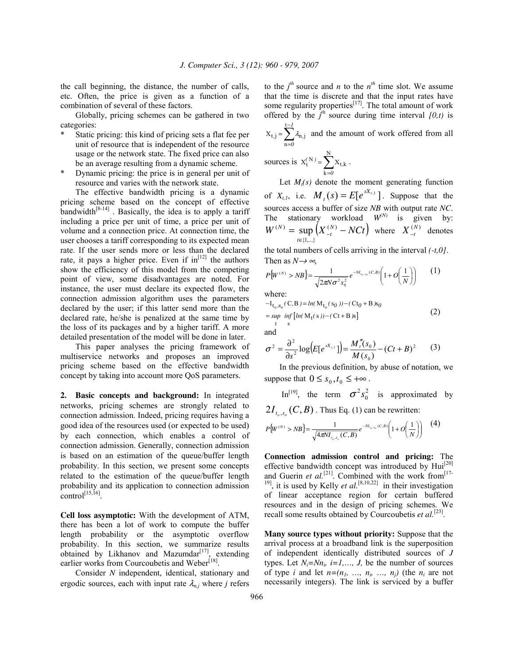the call beginning, the distance, the number of calls, etc. Often, the price is given as a function of a combination of several of these factors.

 Globally, pricing schemes can be gathered in two categories:

- Static pricing: this kind of pricing sets a flat fee per unit of resource that is independent of the resource usage or the network state. The fixed price can also be an average resulting from a dynamic scheme.
- Dynamic pricing: the price is in general per unit of resource and varies with the network state.

 The effective bandwidth pricing is a dynamic pricing scheme based on the concept of effective bandwidth $[8-14]$ . Basically, the idea is to apply a tariff including a price per unit of time, a price per unit of volume and a connection price. At connection time, the user chooses a tariff corresponding to its expected mean rate. If the user sends more or less than the declared rate, it pays a higher price. Even if  $in^{[12]}$  the authors show the efficiency of this model from the competing point of view, some disadvantages are noted. For instance, the user must declare its expected flow, the connection admission algorithm uses the parameters declared by the user; if this latter send more than the declared rate, he/she is penalized at the same time by the loss of its packages and by a higher tariff. A more detailed presentation of the model will be done in later.

 This paper analyses the pricing framework of multiservice networks and proposes an improved pricing scheme based on the effective bandwidth concept by taking into account more QoS parameters.

**2. Basic concepts and background:** In integrated networks, pricing schemes are strongly related to connection admission. Indeed, pricing requires having a good idea of the resources used (or expected to be used) by each connection, which enables a control of connection admission. Generally, connection admission is based on an estimation of the queue/buffer length probability. In this section, we present some concepts related to the estimation of the queue/buffer length probability and its application to connection admission  $control^{[15,16]}$ .

**Cell loss asymptotic:** With the development of ATM, there has been a lot of work to compute the buffer length probability or the asymptotic overflow probability. In this section, we summarize results obtained by Likhanov and Mazumdar<sup>[17]</sup>, extending earlier works from Courcoubetis and Weber<sup>[18]</sup>.

 Consider *N* independent, identical, stationary and ergodic sources, each with input rate  $\lambda_{n,j}$  where *j* refers

to the  $j<sup>th</sup>$  source and *n* to the  $n<sup>th</sup>$  time slot. We assume that the time is discrete and that the input rates have some regularity properties $\left[17\right]$ . The total amount of work offered by the  $j<sup>th</sup>$  source during time interval  $[0,t)$  is t t, j =  $\sum_i$   $\Lambda_{\rm n, j}$ X *1*  $\lambda$ ,  $j = \sum_i A_i$ λ −  $=\sum_{n=1}^{N} \lambda_{n,j}$  and the amount of work offered from all

$$
{}^{n=0}
$$
  
sources is  $X_t^{(N)} = \sum_{k=0}^{N} X_{t,k}$ .

Let  $M_t(s)$  denote the moment generating function of  $X_{t,i}$ , i.e.  $M_t(s) = E[e^{sX_{t,i}}]$ . Suppose that the sources access a buffer of size *NB* with output rate *NC*. The stationary workload  $W^{(N)}$  is given by:  $W^{(N)} = \sup (X^{(N)}_{-t} - NCt)$  $\sup_{t \in \{1,...\}} \sum_{t}$  $X^{(N)} = \sup_{t \in \{1, \ldots\}} \left( X^{(N)}_{-t} - \right)$  $(N)$  ${1,...}$  $S^{(N)}$  = sup  $(X_{-t}^{(N)} - NCt)$  where  $X_{-t}^{(N)}$  denotes

the total numbers of cells arriving in the interval *(-t,0]*. Then as  $N \rightarrow \infty$ ,

$$
P\{W^{(N)} > NB\} = \frac{1}{\sqrt{2\pi N \sigma^2 s_0^2}} e^{-N I_{t_0, t_0}(C, B)} \left(1 + O\left(\frac{1}{N}\right)\right) \tag{1}
$$

where:

$$
-I_{t_o, s_o}(C, B) = \ln(M_{t_o}(s_o)) - (Ct_o + B) s_o
$$
  
=  $\sup_{t} \inf_{s} [\ln(M_t(s)) - (Ct + B) s]$  (2)  
and

$$
\sigma^2 = \frac{\partial^2}{\partial s^2} \log \Bigl(E[e^{sX_{t,1}}] \Bigr) = \frac{M_t''(s_0)}{M(s_0)} - (Ct + B)^2 \qquad (3)
$$

 In the previous definition, by abuse of notation, we suppose that  $0 \leq s_0, t_0 \leq +\infty$ .

In<sup>[19]</sup>, the term  $\sigma^2 s_0^2$  is approximated by  $2I_{t_o,s_o}(C,B)$  . Thus Eq. (1) can be rewritten:  $(1)$ ſ 1  $-NI_{\text{train}}(C,B)$  $(4)$ 

$$
P\{W^{(N)} > NB\} = \frac{1}{\sqrt{4\pi N I_{r_o, s_o}(C, B)}} e^{-N I_{r_o, s_o}(C, B)} \left(1 + O\left(\frac{1}{N}\right)\right)
$$
(4)

**Connection admission control and pricing:** The effective bandwidth concept was introduced by Hui<sup>[20]</sup> and Guerin *et al.*<sup>[21]</sup>. Combined with the work from<sup>[17-</sup>  $19$ <sup>19</sup>, it is used by Kelly *et al.*<sup>[8,10,22]</sup> in their investigation of linear acceptance region for certain buffered resources and in the design of pricing schemes. We recall some results obtained by Courcoubetis *et al.*<sup>[23]</sup>.

**Many source types without priority:** Suppose that the arrival process at a broadband link is the superposition of independent identically distributed sources of *J* types. Let  $N_i = Nn_i$ ,  $i = 1, \ldots, J$ , be the number of sources of type *i* and let  $n=(n_1, ..., n_i, ..., n_j)$  (the  $n_i$  are not necessarily integers). The link is serviced by a buffer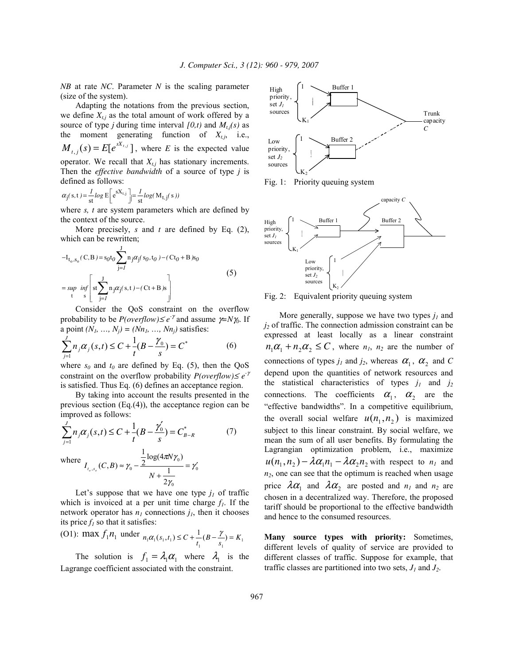*NB* at rate *NC*. Parameter *N* is the scaling parameter (size of the system).

 Adapting the notations from the previous section, we define  $X_{t,i}$  as the total amount of work offered by a source of type *j* during time interval  $[0,t)$  and  $M_{t,j}(s)$  as the moment generating function of  $X_{t,i}$ , i.e.,  $M_{t,j}(s) = E[e^{sX_{t,j}}]$ , where *E* is the expected value operator. We recall that *Xt,j* has stationary increments. Then the *effective bandwidth* of a source of type *j* is defined as follows:

$$
\alpha_{j}(s,t) = \frac{1}{st} \log E \left[ e^{sX_{t,j}} \right] = \frac{1}{st} \log(M_{t,j}(s))
$$

where *s, t* are system parameters which are defined by the context of the source.

 More precisely, *s* and *t* are defined by Eq. (2), which can be rewritten;

$$
-I_{t_o, s_o}(C, B) = s_0 t_0 \sum_{j=1}^{J} n_j \alpha_j (s_0, t_0) - (Ct_0 + B) s_0
$$
  
= 
$$
\sup_{t} \inf_{s} \left[ st \sum_{j=1}^{J} n_j \alpha_j (s, t) - (Ct + B) s \right]
$$
 (5)

 Consider the QoS constraint on the overflow *probability to be <i>P*(*overflow*)≤*e*<sup>-γ</sup> and assume γ=*Nγ*<sub>0</sub>. If a point  $(N_1, ..., N_i) = (Nn_1, ..., Nn_i)$  satisfies:

$$
\sum_{j=1}^{J} n_j \alpha_j(s, t) \le C + \frac{1}{t} (B - \frac{\gamma_0}{s}) = C^*
$$
 (6)

where  $s_0$  and  $t_0$  are defined by Eq. (5), then the QoS constraint on the overflow probability  $P(overflow) \le e^{-\gamma}$ is satisfied. Thus Eq. (6) defines an acceptance region.

 By taking into account the results presented in the previous section (Eq.(4)), the acceptance region can be improved as follows:

$$
\sum_{j=1}^{J} n_j \alpha_j(s, t) \le C + \frac{1}{t} (B - \frac{\gamma_0'}{s}) = C_{B-R}^* \tag{7}
$$
  
where 
$$
\frac{1}{2} \log(4\pi V \gamma_0)
$$

where  $I_{t_0, s_0}(C, B) \approx \gamma_0 - \frac{2}{2} \frac{\log(4\pi N \gamma_0)}{1} = \gamma_0$ 0  $_{,s_{a}}(C,D)\simeq r_{0}$ 2 1  $(C, B) \approx \gamma_0 - \frac{\frac{1}{2} \log(4\pi N \gamma_0)}{1} = \gamma_0$ γ  $\gamma_0 - \frac{2}{2} \frac{\log(4\pi N \gamma_0)}{1} = \gamma_0'$ +  $\approx \gamma_0$  – *N*  $I_{t_o,s_o}(C,B)$ 

Let's suppose that we have one type  $j_l$  of traffic which is invoiced at a per unit time charge  $f_i$ . If the network operator has  $n<sub>l</sub>$  connections  $j<sub>l</sub>$ , then it chooses its price  $f_I$  so that it satisfies:

(O1): 
$$
\max f_1 n_1
$$
 under  $n_1 \alpha_1 (s_1, t_1) \leq C + \frac{1}{t_1} (B - \frac{\gamma}{s_1}) = K_1$ 

The solution is  $f_1 = \lambda_1 \alpha_1$  where  $\lambda_1$  is the Lagrange coefficient associated with the constraint.



Fig. 1: Priority queuing system



Fig. 2: Equivalent priority queuing system

 More generally, suppose we have two types *j1* and  $j<sub>2</sub>$  of traffic. The connection admission constraint can be expressed at least locally as a linear constraint  $n_1\alpha_1 + n_2\alpha_2 \leq C$ , where  $n_1$ ,  $n_2$  are the number of connections of types  $j_l$  and  $j_2$ , whereas  $\alpha_1$ ,  $\alpha_2$  and C depend upon the quantities of network resources and the statistical characteristics of types *j1* and *j<sup>2</sup>* connections. The coefficients  $\alpha_1$ ,  $\alpha_2$  are the "effective bandwidths". In a competitive equilibrium, the overall social welfare  $u(n_1, n_2)$  is maximized subject to this linear constraint. By social welfare, we mean the sum of all user benefits. By formulating the Lagrangian optimization problem, i.e., maximize  $u(n_1, n_2) - \lambda \alpha_1 n_1 - \lambda \alpha_2 n_2$  with respect to  $n_i$  and *n2*, one can see that the optimum is reached when usage price  $\lambda \alpha_1$  and  $\lambda \alpha_2$  are posted and  $n_1$  and  $n_2$  are chosen in a decentralized way. Therefore, the proposed tariff should be proportional to the effective bandwidth and hence to the consumed resources.

**Many source types with priority:** Sometimes, different levels of quality of service are provided to different classes of traffic. Suppose for example, that traffic classes are partitioned into two sets,  $J_1$  and  $J_2$ .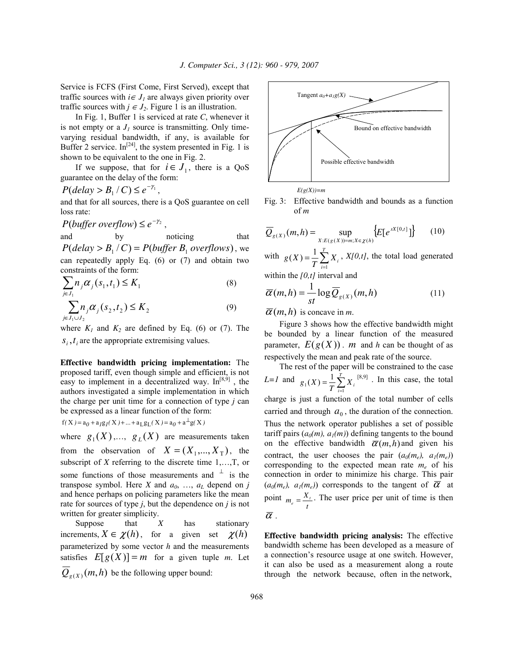Service is FCFS (First Come, First Served), except that traffic sources with  $i \in J_I$  are always given priority over traffic sources with  $j \in J_2$ . Figure 1 is an illustration.

 In Fig. 1, Buffer 1 is serviced at rate *C*, whenever it is not empty or a  $J<sub>l</sub>$  source is transmitting. Only timevarying residual bandwidth, if any, is available for Buffer 2 service.  $In^{[24]}$ , the system presented in Fig. 1 is shown to be equivalent to the one in Fig. 2.

If we suppose, that for  $i \in J_1$ , there is a QoS guarantee on the delay of the form:

$$
P(delay > B_1 / C) \leq e^{-\gamma_1},
$$

and that for all sources, there is a QoS guarantee on cell loss rate:

 $P(bliffer overflow$   $\leq e^{-\gamma_2}$ , and by noticing that  $P(delay > B_1 / C) = P(buffer B_1 overflows),$  we can repeatedly apply Eq. (6) or (7) and obtain two constraints of the form:

$$
\sum_{j \in J_1} n_j \alpha_j (s_1, t_1) \le K_1
$$
\n
$$
\sum_{j \in J_1 \cup J_2} n_j \alpha_j (s_2, t_2) \le K_2
$$
\n(8)

where  $K_1$  and  $K_2$  are defined by Eq. (6) or (7). The  $s_i$ ,  $t_i$  are the appropriate extremising values.

**Effective bandwidth pricing implementation:** The proposed tariff, even though simple and efficient, is not easy to implement in a decentralized way.  $In<sup>[8,9]</sup>$ , the authors investigated a simple implementation in which the charge per unit time for a connection of type *j* can be expressed as a linear function of the form:

 $f(X) = a_0 + a_1 g_1(X) + ... + a_L g_L(X) = a_0 + a^{\perp} g(X)$ 

where  $g_1(X),..., g_L(X)$  are measurements taken from the observation of  $X = (X_1,...,X_T)$ , the subscript of *X* referring to the discrete time 1,…,T, or some functions of those measurements and  $\perp$  is the transpose symbol. Here *X* and  $a_0$ , ...,  $a_L$  depend on *j* and hence perhaps on policing parameters like the mean rate for sources of type *j*, but the dependence on *j* is not written for greater simplicity.

 Suppose that *X* has stationary increments,  $X \in \chi(h)$ , for a given set  $\chi(h)$ parameterized by some vector *h* and the measurements satisfies  $E[g(X)] = m$  for a given tuple *m*. Let  $\overline{Q}_{g(X)}(m,h)$  be the following upper bound:



*E(g(X))=m*

Fig. 3: Effective bandwidth and bounds as a function of *m* 

$$
\overline{Q}_{g(X)}(m,h) = \sup_{X: E(g(X)) = m; X \in \mathcal{X}(h)} \{E[e^{sX[0,t]}]\}
$$
(10)

with 
$$
g(X) = \frac{1}{T} \sum_{i=1}^{T} X_i
$$
,  $X[0, t]$ , the total load generated

within the *[0,t]* interval and

$$
\overline{\alpha}(m,h) = \frac{1}{st} \log \overline{Q}_{g(X)}(m,h)
$$
\n(11)

 $\overline{\alpha}(m,h)$  is concave in *m*.

Figure 3 shows how the effective bandwidth might be bounded by a linear function of the measured parameter,  $E(g(X))$ . *m* and *h* can be thought of as respectively the mean and peak rate of the source.

 The rest of the paper will be constrained to the case *L*=*I* and  $g_1(X) = \frac{1}{T} \sum_{i=1}^{T}$  $=\frac{1}{\pi}\sum_{i=1}^{T}$  $g_1(X) = \frac{1}{T} \sum_{i=1}^{T} X_i$  $\Gamma_1(X) = \frac{1}{T} \sum_{i=1}^{T} X_i^{[8,9]}$ . In this case, the total charge is just a function of the total number of cells carried and through  $a_0$ , the duration of the connection. Thus the network operator publishes a set of possible tariff pairs  $(a_0(m), a_1(m))$  defining tangents to the bound on the effective bandwidth  $\overline{\alpha}(m, h)$  and given his contract, the user chooses the pair  $(a_0/m_e)$ ,  $a_1/m_e$ ) corresponding to the expected mean rate  $m_e$  of his connection in order to minimize his charge. This pair  $(a_0(m_e), a_1(m_e))$  corresponds to the tangent of  $\overline{\alpha}$  at point *t*  $m_e = \frac{X_t}{A}$ . The user price per unit of time is then  $\bar{\alpha}$  .

**Effective bandwidth pricing analysis:** The effective bandwidth scheme has been developed as a measure of a connection's resource usage at one switch. However, it can also be used as a measurement along a route through the network because, often in the network,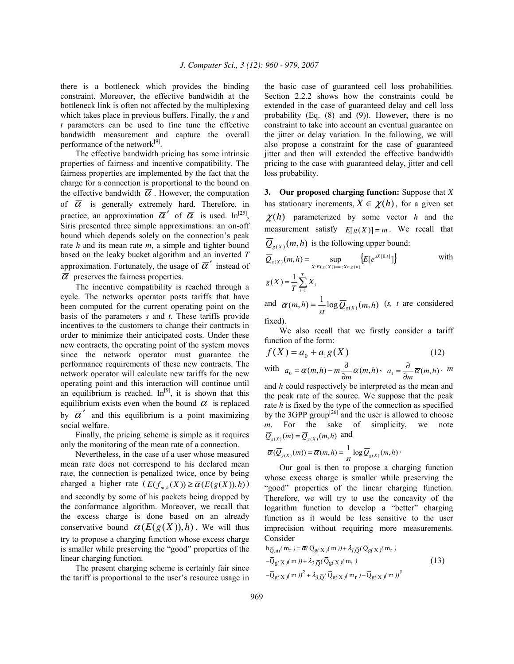there is a bottleneck which provides the binding constraint. Moreover, the effective bandwidth at the bottleneck link is often not affected by the multiplexing which takes place in previous buffers. Finally, the *s* and *t* parameters can be used to fine tune the effective bandwidth measurement and capture the overall performance of the network<sup>[9]</sup>.

 The effective bandwidth pricing has some intrinsic properties of fairness and incentive compatibility. The fairness properties are implemented by the fact that the charge for a connection is proportional to the bound on the effective bandwidth  $\overline{\alpha}$ . However, the computation of  $\overline{\alpha}$  is generally extremely hard. Therefore, in practice, an approximation  $\overline{\alpha}'$  of  $\overline{\alpha}$  is used. In<sup>[25]</sup>, Siris presented three simple approximations: an on-off bound which depends solely on the connection's peak rate *h* and its mean rate *m*, a simple and tighter bound based on the leaky bucket algorithm and an inverted *T* approximation. Fortunately, the usage of  $\overline{\alpha}'$  instead of  $\overline{\alpha}$  preserves the fairness properties.

The incentive compatibility is reached through a cycle. The networks operator posts tariffs that have been computed for the current operating point on the basis of the parameters *s* and *t*. These tariffs provide incentives to the customers to change their contracts in order to minimize their anticipated costs. Under these new contracts, the operating point of the system moves since the network operator must guarantee the performance requirements of these new contracts. The network operator will calculate new tariffs for the new operating point and this interaction will continue until an equilibrium is reached.  $In^{[9]}$ , it is shown that this equilibrium exists even when the bound  $\overline{\alpha}$  is replaced by  $\overline{\alpha}'$  and this equilibrium is a point maximizing social welfare.

 Finally, the pricing scheme is simple as it requires only the monitoring of the mean rate of a connection.

 Nevertheless, in the case of a user whose measured mean rate does not correspond to his declared mean rate, the connection is penalized twice, once by being charged a higher rate  $(E(f_{m,h}(X)) \ge \overline{\alpha}(E(g(X)), h))$ and secondly by some of his packets being dropped by the conformance algorithm. Moreover, we recall that the excess charge is done based on an already conservative bound  $\overline{\alpha}(E(g(X)),h)$ . We will thus try to propose a charging function whose excess charge is smaller while preserving the "good" properties of the linear charging function.

 The present charging scheme is certainly fair since the tariff is proportional to the user's resource usage in the basic case of guaranteed cell loss probabilities. Section 2.2.2 shows how the constraints could be extended in the case of guaranteed delay and cell loss probability (Eq. (8) and (9)). However, there is no constraint to take into account an eventual guarantee on the jitter or delay variation. In the following, we will also propose a constraint for the case of guaranteed jitter and then will extended the effective bandwidth pricing to the case with guaranteed delay, jitter and cell loss probability.

**3. Our proposed charging function:** Suppose that *X*  has stationary increments,  $X \in \chi(h)$ , for a given set  $\chi(h)$  parameterized by some vector *h* and the measurement satisfy  $E[g(X)] = m$ . We recall that  $Q_{g(X)}(m,h)$  is the following upper bound:

$$
\overline{Q}_{g(X)}(m,h) = \sup_{X: E(g(X)) = m; X \in \chi(h)} \{E[e^{sX[0,t]}]\}
$$
 with  

$$
g(X) = \frac{1}{T} \sum_{i=1}^{T} X_i
$$

and  $\overline{\alpha}(m,h) = \frac{1}{st} \log \overline{Q}_{g(X)}(m,h)$  (*s, t* are considered fixed).

 We also recall that we firstly consider a tariff function of the form:

$$
f(X) = a_0 + a_1 g(X)
$$
 (12)

with 
$$
a_0 = \overline{\alpha}(m, h) - m \frac{\partial}{\partial m} \overline{\alpha}(m, h)
$$
,  $a_1 = \frac{\partial}{\partial m} \overline{\alpha}(m, h)$ .  $m$ 

and *h* could respectively be interpreted as the mean and the peak rate of the source. We suppose that the peak rate *h* is fixed by the type of the connection as specified by the 3GPP group<sup>[26]</sup> and the user is allowed to choose *m*. For the sake of simplicity, we note  $\overline{Q}_{g(X)}(m) = \overline{Q}_{g(X)}(m,h)$  and

$$
\overline{\alpha}(\overline{Q}_{g(X)}(m)) = \overline{\alpha}(m,h) = \frac{1}{st} \log \overline{Q}_{g(X)}(m,h) \cdot
$$

 Our goal is then to propose a charging function whose excess charge is smaller while preserving the "good" properties of the linear charging function. Therefore, we will try to use the concavity of the logarithm function to develop a "better" charging function as it would be less sensitive to the user imprecision without requiring more measurements. Consider

$$
h_{\overline{Q},m}(m_r) = \overline{\alpha}(\overline{Q}_{g(X)}(m)) + \lambda_{I,\overline{Q}}(\overline{Q}_{g(X)}(m_r))
$$
  
\n
$$
-\overline{Q}_{g(X)}(m)) + \lambda_{2,\overline{Q}}(\overline{Q}_{g(X)}(m_r))
$$
  
\n
$$
-\overline{Q}_{g(X)}(m_r)^2 + \lambda_{3,\overline{Q}}(\overline{Q}_{g(X)}(m_r) - \overline{Q}_{g(X)}(m_r))^3
$$
\n(13)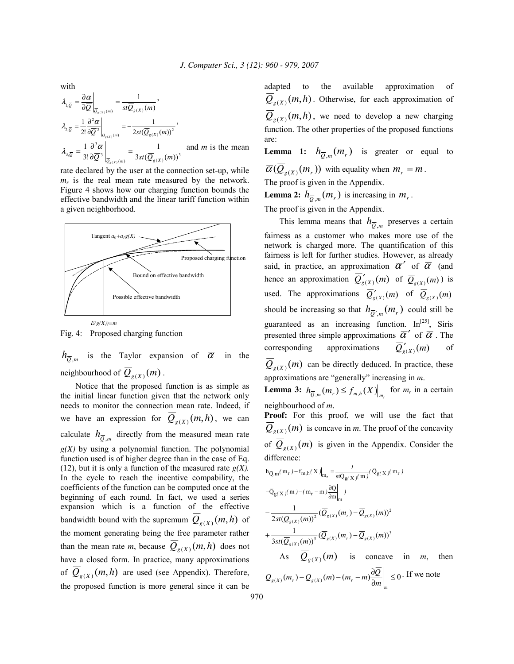with

$$
\lambda_{1,\overline{Q}} = \frac{\partial \overline{\alpha}}{\partial \overline{Q}} \Big|_{\overline{Q}_{g(X)}(m)} = \frac{1}{st \overline{Q}_{g(X)}(m)},
$$
\n
$$
\lambda_{2,\overline{Q}} = \frac{1}{2!} \frac{\partial^2 \overline{\alpha}}{\partial \overline{Q}^2} \Big|_{\overline{Q}_{g(X)}(m)} = -\frac{1}{2st (\overline{Q}_{g(X)}(m))^2},
$$
\n
$$
\lambda_{3,\overline{Q}} = \frac{1}{3!} \frac{\partial^3 \overline{\alpha}}{\partial \overline{Q}^3} \Big|_{\overline{Q}_{g(X)}(m)} = \frac{1}{3st (\overline{Q}_{g(X)}(m))^3} \text{ and } m \text{ is the mean}
$$

rate declared by the user at the connection set-up, while  $m_r$  is the real mean rate measured by the network. Figure 4 shows how our charging function bounds the effective bandwidth and the linear tariff function within a given neighborhood.



Fig. 4: Proposed charging function

 $h_{\overline{Q},m}$  is the Taylor expansion of  $\overline{\alpha}$  in the neighbourhood of  $\overline{Q}_{g(X)}(m)$ .

 Notice that the proposed function is as simple as the initial linear function given that the network only needs to monitor the connection mean rate. Indeed, if we have an expression for  $\overline{Q}_{g(X)}(m, h)$ , we can calculate  $h_{\overline{Q},m}$  directly from the measured mean rate *g(X)* by using a polynomial function. The polynomial function used is of higher degree than in the case of Eq. (12), but it is only a function of the measured rate  $g(X)$ . In the cycle to reach the incentive compability, the coefficients of the function can be computed once at the beginning of each round. In fact, we used a series expansion which is a function of the effective bandwidth bound with the supremum  $\overline{Q}_{g(X)}(m, h)$  of the moment generating being the free parameter rather than the mean rate *m*, because  $Q_{g(X)}(m, h)$  does not have a closed form. In practice, many approximations of  $Q_{\varphi(X)}(m, h)$  are used (see Appendix). Therefore, the proposed function is more general since it can be

adapted to the available approximation of  $Q_{\sigma(X)}(m, h)$ . Otherwise, for each approximation of  $Q_{\varphi(X)}(m, h)$ , we need to develop a new charging function. The other properties of the proposed functions are:

**Lemma 1:**  $h_{\overline{Q}, m}(m_r)$  is greater or equal to  $\overline{\alpha}(Q_{g(X)}(m_r))$  with equality when  $m_r = m$ . The proof is given in the Appendix. **Lemma 2:**  $h_{\overline{Q}, m}(m_r)$  is increasing in  $m_r$ .

The proof is given in the Appendix.

This lemma means that  $h_{\overline{Q},m}$  preserves a certain fairness as a customer who makes more use of the network is charged more. The quantification of this fairness is left for further studies. However, as already said, in practice, an approximation  $\overline{\alpha}'$  of  $\overline{\alpha}$  (and hence an approximation  $\overline{Q}'_{g(X)}(m)$  of  $\overline{Q}_{g(X)}(m)$  is used. The approximations  $\overline{Q}'_{g(X)}(m)$  of  $\overline{Q}_{g(X)}(m)$ should be increasing so that  $h_{\overline{Q}',m}(m_r)$  could still be guaranteed as an increasing function.  $In^{[25]}$ , Siris presented three simple approximations  $\overline{\alpha}'$  of  $\overline{\alpha}$ . The corresponding approximations  $\overline{Q}'_{g(X)}(m)$  $Q_{\varphi(X)}(m)$  can be directly deduced. In practice, these approximations are "generally" increasing in *m*.

**Lemma 3:**  $h_{\overline{Q}, m}(m_r) \leq f_{m,h}(X)|_{m_r}$  for  $m_r$  in a certain neighbourhood of *m*.

**Proof:** For this proof, we will use the fact that  $Q_{g(X)}(m)$  is concave in *m*. The proof of the concavity of  $\overline{Q}_{g(X)}(m)$  is given in the Appendix. Consider the difference:

$$
h_{\overline{Q},m}(m_r) - f_{m,h}(X)|_{m_r} = \frac{1}{\text{st}\overline{Q}_{g(X)}(m)} (\overline{Q}_{g(X)}(m_r))
$$
  
\n
$$
-\overline{Q}_{g(X)}(m) - (m_r - m) \frac{\partial \overline{Q}}{\partial m}|_{m}
$$
  
\n
$$
-\frac{1}{2st(\overline{Q}_{g(X)}(m))^2} (\overline{Q}_{g(X)}(m_r) - \overline{Q}_{g(X)}(m))^2
$$
  
\n
$$
+\frac{1}{3st(\overline{Q}_{g(X)}(m))^3} (\overline{Q}_{g(X)}(m_r) - \overline{Q}_{g(X)}(m))^3
$$
  
\nAs  $\overline{Q}_{g(X)}(m)$  is concave in *m*, then  
\n
$$
\overline{Q}_{g(X)}(m_r) - \overline{Q}_{g(X)}(m) - (m_r - m) \frac{\partial \overline{Q}}{\partial m}|_{m} \leq 0
$$
 If we note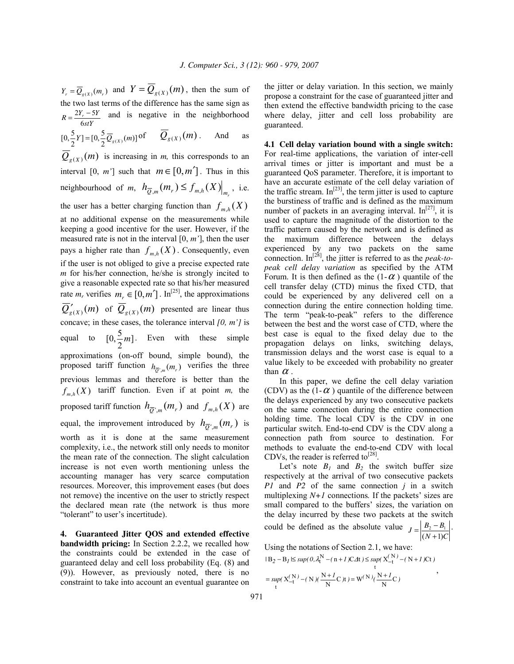$Y_r = \overline{Q}_{g(X)}(m_r)$  and  $Y = Q_{g(X)}(m)$ , then the sum of the two last terms of the difference has the same sign as *stY*  $R = \frac{2Y_r - 5Y}{6stY}$  $=\frac{2Y_r-5Y}{\sqrt{2\pi}}$  and is negative in the neighborhood  $\frac{1}{2}Q_{g(X)}(m)]$  $\frac{5}{2}Y$ ] = [0,  $\frac{5}{2}$  $[0, \frac{5}{2}Y] = [0, \frac{5}{2}Q_{g(X)}(m)]$  of  $\overline{Q}_{g(X)}(m)$ . And as  $\overline{Q}_{\varphi(X)}(m)$  is increasing in *m*, this corresponds to an interval [0, *m'*] such that  $m \in [0,m']$ . Thus in this neighbourhood of *m*,  $h_{\overline{Q}, m}(m_r) \leq f_{m,h}(X)|_{m_r}$ , i.e. the user has a better charging function than  $f_{m,h}(X)$ at no additional expense on the measurements while keeping a good incentive for the user. However, if the measured rate is not in the interval [0, *m'*], then the user pays a higher rate than  $f_{m,h}(X)$ . Consequently, even if the user is not obliged to give a precise expected rate *m* for his/her connection, he/she is strongly incited to give a reasonable expected rate so that his/her measured rate  $m_r$  verifies  $m_r \in [0, m']$ . In<sup>[25]</sup>, the approximations  $\overline{Q}_{g(X)}^{\prime}(m)$  of  $\overline{Q}_{g(X)}(m)$  presented are linear thus concave; in these cases, the tolerance interval *[0, m']* is equal to  $[0, \frac{3}{2}m]$ 2  $[0, \frac{5}{2}m]$ . Even with these simple approximations (on-off bound, simple bound), the proposed tariff function  $h_{\overline{Q}',m}(m_r)$  verifies the three previous lemmas and therefore is better than the  $f_{m,h}(X)$  tariff function. Even if at point *m*, the proposed tariff function  $h_{\overline{Q}',m}(m_r)$  and  $f_{m,h}(X)$  are equal, the improvement introduced by  $h_{\overline{Q}', m}(m_r)$  is worth as it is done at the same measurement complexity, i.e., the network still only needs to monitor the mean rate of the connection. The slight calculation increase is not even worth mentioning unless the accounting manager has very scarce computation resources. Moreover, this improvement eases (but does not remove) the incentive on the user to strictly respect the declared mean rate (the network is thus more "tolerant" to user's incertitude).

**4. Guaranteed Jitter QOS and extended effective bandwidth pricing:** In Section 2.2.2, we recalled how the constraints could be extended in the case of guaranteed delay and cell loss probability (Eq. (8) and (9)). However, as previously noted, there is no constraint to take into account an eventual guarantee on the jitter or delay variation. In this section, we mainly propose a constraint for the case of guaranteed jitter and then extend the effective bandwidth pricing to the case where delay, jitter and cell loss probability are guaranteed.

**4.1 Cell delay variation bound with a single switch:**  For real-time applications, the variation of inter-cell arrival times or jitter is important and must be a guaranteed QoS parameter. Therefore, it is important to have an accurate estimate of the cell delay variation of the traffic stream.  $In^{[23]}$ , the term jitter is used to capture the burstiness of traffic and is defined as the maximum number of packets in an averaging interval.  $In^{[27]}$ , it is used to capture the magnitude of the distortion to the traffic pattern caused by the network and is defined as the maximum difference between the delays experienced by any two packets on the same connection. In[28], the jitter is referred to as the *peak-topeak cell delay variation* as specified by the ATM Forum. It is then defined as the  $(1-\alpha)$  quantile of the cell transfer delay (CTD) minus the fixed CTD, that could be experienced by any delivered cell on a connection during the entire connection holding time. The term "peak-to-peak" refers to the difference between the best and the worst case of CTD, where the best case is equal to the fixed delay due to the propagation delays on links, switching delays, transmission delays and the worst case is equal to a value likely to be exceeded with probability no greater than  $\alpha$ .

In this paper, we define the cell delay variation (CDV) as the  $(1-\alpha)$  quantile of the difference between the delays experienced by any two consecutive packets on the same connection during the entire connection holding time. The local CDV is the CDV in one particular switch. End-to-end CDV is the CDV along a connection path from source to destination. For methods to evaluate the end-to-end CDV with local CDVs, the reader is referred to<sup>[28]</sup>.

Let's note  $B_1$  and  $B_2$  the switch buffer size respectively at the arrival of two consecutive packets *P1* and *P2* of the same connection *j* in a switch multiplexing *N+1* connections. If the packets' sizes are small compared to the buffers' sizes, the variation on the delay incurred by these two packets at the switch could be defined as the absolute value  $(N+1)C$  $J = \frac{B_2 - B_1}{(N+1)C}$  $=\left|\frac{B_2-B_1}{\left(1-\frac{1}{2}\right)}\right|$ .

Using the notations of Section 2.1, we have:  
\n
$$
|B_2 - B_1| \le \sup(0, \lambda_t^N - (n+1)C\Delta t) \le \sup(t, \lambda_t^N) - (N+1)Ct)
$$
\n
$$
= \sup(t, \lambda_t^N) - (N) \frac{N+1}{N}C(t) = W(N) \frac{N+1}{N}C
$$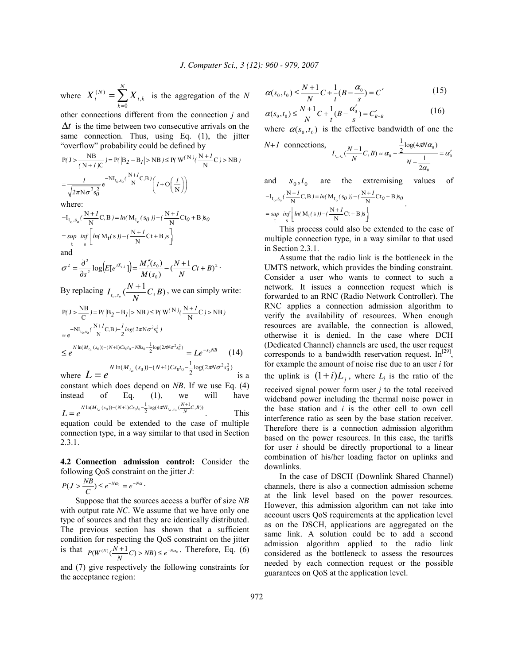where  $X_t^{(N)} = \sum_{k=1}^{N} X_k^{(N)}$ = = *N k*  $X_t^{(N)} = \sum X_{t,k}$ 0 ,  $\sum_{k=1}^{(N)}$   $=$   $\sum_{k=1}^{N} X_{ik}$  is the aggregation of the *N* 

other connections different from the connection *j* and ∆*t* is the time between two consecutive arrivals on the same connection. Thus, using Eq. (1), the jitter "overflow" probability could be defined by

$$
P(J > \frac{NB}{(N+1)C}) = P(|B_2 - B_1| > NB) \le P(W^{(N)}(\frac{N+1}{N}C) > NB)
$$
  
= 
$$
\frac{1}{\sqrt{2\pi N \sigma^2 s_0^2}} e^{-NI_{t_0, s_0}(\frac{N+1}{N}C, B)} \left( I + O(\frac{I}{N}) \right)
$$

where:

$$
-I_{t_o, s_o}(\frac{N+I}{N}C, B) = \ln(M_{t_o}(s_0)) - (\frac{N+I}{N}Ct_0 + B)s_0
$$
  
= 
$$
\sup_t \inf_s \left[ \ln(M_t(s)) - (\frac{N+I}{N}Ct + B)s \right]
$$
  
and

$$
\sigma^2 = \frac{\partial^2}{\partial s^2} \log \Bigl(E[e^{sX_{r,1}}] \Bigr) = \frac{M''_r(s_0)}{M(s_0)} - \Bigl(\frac{N+1}{N}Ct + B\Bigr)^2
$$

By replacing  $I_{t_o,s_o}(\frac{N+1}{N}C,B)$  $I_{t_o,s_o}$  ( $\frac{N}{s_o}$  $^{+1}C$ , B), we can simply write:

$$
P(J > \frac{NB}{C}) = P(|B_2 - B_I| > NB) \le P(W^{(N)}(\frac{N+I}{N}C) > NB)
$$
  
\n
$$
\approx e^{-NI_{t_0, s_0}(\frac{N+I}{N}C, B) - \frac{I}{2}log(2\pi N\sigma^2 s_0^2)}
$$
  
\n
$$
\le e^{N \ln(M_{t_0}(s_0)) - (N+1)Cs_0t_0 - NBs_0 - \frac{1}{2}\log(2\pi N\sigma^2 s_0^2)} = Le^{-s_0NB} \qquad (14)
$$
  
\nwhere  $L = e^{N \ln(M_{t_0}(s_0)) - (N+1)Cs_0t_0 - \frac{1}{2}\log(2\pi N\sigma^2 s_0^2)}$  is a

where constant which does depend on *NB*. If we use Eq. (4) instead of Eq. (1), we will have  $\frac{1}{2} \log(4 \pi N I_{t_o, s_o}(\frac{N+1}{N}C, B))$  $\ln(M_{t_o}(s_0))-(N+1)Cs_0t_0-\frac{1}{2}\log(4\pi NI_{t_o,s_o}(\frac{N+1}{N}C,B))$  $L = e^{N \ln(M_{t_o}(s_0)) - (N+1)Cs_0t_0 - \frac{1}{2}\log(4\pi N I_{t_o,s_o}(N))}$  $= e^{N \ln(M_{t_o}(s_0)) - (N+1)Cs_0t_0 - \frac{1}{2}\log(4\pi N I_{t_o,s_o}( \frac{N+1}{N}))}$ . This equation could be extended to the case of multiple connection type, in a way similar to that used in Section 2.3.1.

**4.2 Connection admission control:** Consider the following QoS constraint on the jitter *J*:

$$
P(J > \frac{NB}{C}) \le e^{-N\alpha_0} = e^{-N\alpha}.
$$

 Suppose that the sources access a buffer of size *NB* with output rate *NC*. We assume that we have only one type of sources and that they are identically distributed. The previous section has shown that a sufficient condition for respecting the QoS constraint on the jitter is that  $P(W^{(N)}(\frac{N+1}{N}C) > NB) \le e^{-N\alpha_0}$  $P(W^{(N)}(\frac{N+1}{N}) > NB) \leq e^{-N\alpha_0}$ . Therefore, Eq. (6) and (7) give respectively the following constraints for

the acceptance region:

$$
\alpha(s_0, t_0) \le \frac{N+1}{N}C + \frac{1}{t}(B - \frac{\alpha_0}{s}) = C'
$$
 (15)

$$
\alpha(s_0, t_0) \le \frac{N+1}{N} C + \frac{1}{t} (B - \frac{\alpha'_0}{s}) = C'_{B-R}
$$
\n(16)

where  $\alpha(s_0, t_0)$  is the effective bandwidth of one the

$$
N+1 \text{ connections, } \frac{N+1}{N}C, B \approx \alpha_0 - \frac{\frac{1}{2}\log(4\pi N\alpha_0)}{N+\frac{1}{2\alpha_0}} = \alpha_0'
$$

and  $s_0, t_0$  are the extremising values of  $-I_{t_0, s_0}(\frac{N+I}{N}C, B) = ln(M_{t_0}(s_0)) - (\frac{N+I}{N}Ct_0 + B)s_0$  $\inf_{\text{t}} \left[ ln(M_{\text{t}}(\text{s})) - (\frac{\text{N}+1}{\text{N}}\text{C}\text{t} + \text{B})\text{s} \right]$  $=\sup_{t} \inf_{s} \left[ ln(M_t(s)) - (\frac{N+1}{N}Ct + B)s \right]$ 

 This process could also be extended to the case of multiple connection type, in a way similar to that used in Section 2.3.1.

 Assume that the radio link is the bottleneck in the UMTS network, which provides the binding constraint. Consider a user who wants to connect to such a network. It issues a connection request which is forwarded to an RNC (Radio Network Controller). The RNC applies a connection admission algorithm to verify the availability of resources. When enough resources are available, the connection is allowed, otherwise it is denied. In the case where DCH (Dedicated Channel) channels are used, the user request corresponds to a bandwidth reservation request.  $In^{[29]}$ , for example the amount of noise rise due to an user *i* for the uplink is  $(1+i)L_j$ , where  $L_j$  is the ratio of the received signal power form user *j* to the total received wideband power including the thermal noise power in the base station and *i* is the other cell to own cell interference ratio as seen by the base station receiver. Therefore there is a connection admission algorithm based on the power resources. In this case, the tariffs for user *i* should be directly proportional to a linear combination of his/her loading factor on uplinks and downlinks.

 In the case of DSCH (Downlink Shared Channel) channels, there is also a connection admission scheme at the link level based on the power resources. However, this admission algorithm can not take into account users QoS requirements at the application level as on the DSCH, applications are aggregated on the same link. A solution could be to add a second admission algorithm applied to the radio link considered as the bottleneck to assess the resources needed by each connection request or the possible guarantees on QoS at the application level.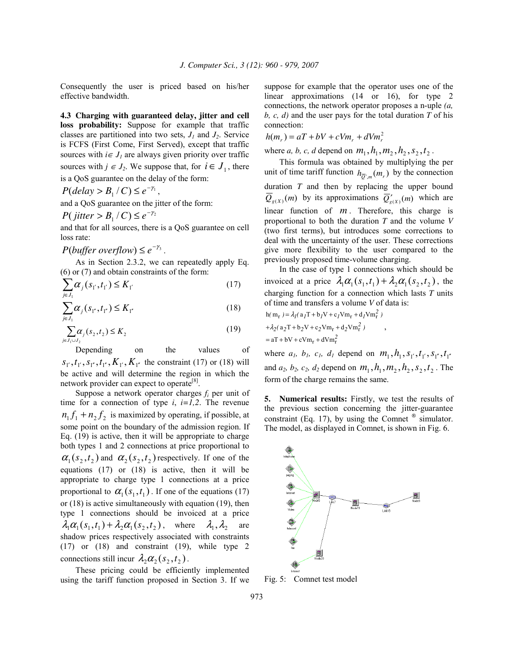Consequently the user is priced based on his/her effective bandwidth.

**4.3 Charging with guaranteed delay, jitter and cell loss probability:** Suppose for example that traffic classes are partitioned into two sets,  $J_1$  and  $J_2$ . Service is FCFS (First Come, First Served), except that traffic sources with  $i \in J_1$  are always given priority over traffic sources with  $j \in J_2$ . We suppose that, for  $i \in J_1$ , there is a QoS guarantee on the delay of the form:

 $(delay > B_1 / C) \leq e^{-\gamma_1}$  $P(delay > B_1 / C) \leq e^{-\gamma_1}$ ,

and a QoS guarantee on the jitter of the form:

$$
P(jitter > B_1 / C) \le e^{-\gamma_2}
$$

and that for all sources, there is a QoS guarantee on cell loss rate:

 $P(bliffer overflow$   $\leq e^{-\gamma_3}$ .

 As in Section 2.3.2, we can repeatedly apply Eq. (6) or (7) and obtain constraints of the form:

$$
\sum_{j\in J_1} \alpha_j(s_{1'}, t_{1'}) \le K_{1'} \tag{17}
$$

$$
\sum_{j \in J_1} \alpha_j (s_{1'}, t_{1'}) \le K_{1'} \tag{18}
$$

$$
\sum_{j \in J_1 \cup J_2} \alpha_j(s_2, t_2) \le K_2
$$
\n(19)

 Depending on the values of  $s_1, t_1, s_1, t_1, K_1, K_1, K_1$  the constraint (17) or (18) will be active and will determine the region in which the network provider can expect to operate<sup>[8]</sup>.

Suppose a network operator charges  $f_i$  per unit of time for a connection of type *i*, *i=1,2*. The revenue  $n_1 f_1 + n_2 f_2$  is maximized by operating, if possible, at some point on the boundary of the admission region. If Eq. (19) is active, then it will be appropriate to charge both types 1 and 2 connections at price proportional to  $\alpha_1(s_2,t_2)$  and  $\alpha_2(s_2,t_2)$  respectively. If one of the equations (17) or (18) is active, then it will be appropriate to charge type 1 connections at a price proportional to  $\alpha_1(s_1, t_1)$ . If one of the equations (17) or (18) is active simultaneously with equation (19), then type 1 connections should be invoiced at a price  $\lambda_1 \alpha_1(s_1, t_1) + \lambda_2 \alpha_1(s_2, t_2)$ , where  $\lambda_1, \lambda_2$  are shadow prices respectively associated with constraints (17) or (18) and constraint (19), while type 2 connections still incur  $\lambda_2 \alpha_2(s_2,t_2)$ .

 These pricing could be efficiently implemented using the tariff function proposed in Section 3. If we suppose for example that the operator uses one of the linear approximations (14 or 16), for type 2 connections, the network operator proposes a n-uple *(a, b, c, d)* and the user pays for the total duration *T* of his connection:

 $h(m_r) = aT + bV + cVm_r + dVm_r^2$ 

where *a*, *b*, *c*, *d* depend on  $m_1$ ,  $h_1$ ,  $m_2$ ,  $h_2$ ,  $s_2$ ,  $t_2$ .

 This formula was obtained by multiplying the per unit of time tariff function  $h_{\overline{Q}',m}(m_r)$  by the connection duration *T* and then by replacing the upper bound  $\overline{Q}_{g(X)}(m)$  by its approximations  $\overline{Q}'_{g(X)}(m)$  which are linear function of *m* . Therefore, this charge is proportional to both the duration *T* and the volume *V* (two first terms), but introduces some corrections to deal with the uncertainty of the user. These corrections give more flexibility to the user compared to the previously proposed time-volume charging.

 In the case of type 1 connections which should be invoiced at a price  $\lambda_1 \alpha_1(s_1,t_1) + \lambda_2 \alpha_1(s_2,t_2)$ , the charging function for a connection which lasts *T* units of time and transfers a volume *V* of data is:

$$
h(m_r) = \lambda_I (a_I T + b_I V + c_I V m_r + d_I V m_r^2) + \lambda_2 (a_2 T + b_2 V + c_2 V m_r + d_2 V m_r^2) = aT + bV + cV m_r + dV m_r^2
$$

where  $a_1$ ,  $b_1$ ,  $c_1$ ,  $d_1$  depend on  $m_1$ ,  $h_1$ ,  $s_1$ ,  $t_1$ ,  $s_1$ ,  $t_1$ , and  $a_2$ ,  $b_2$ ,  $c_2$ ,  $d_2$  depend on  $m_1$ ,  $h_1$ ,  $m_2$ ,  $h_2$ ,  $s_2$ ,  $t_2$ . The form of the charge remains the same.

**5. Numerical results:** Firstly, we test the results of the previous section concerning the jitter-guarantee constraint (Eq. 17), by using the Comnet  $\mathscr{B}$  simulator. The model, as displayed in Comnet, is shown in Fig. 6.



Fig. 5: Comnet test model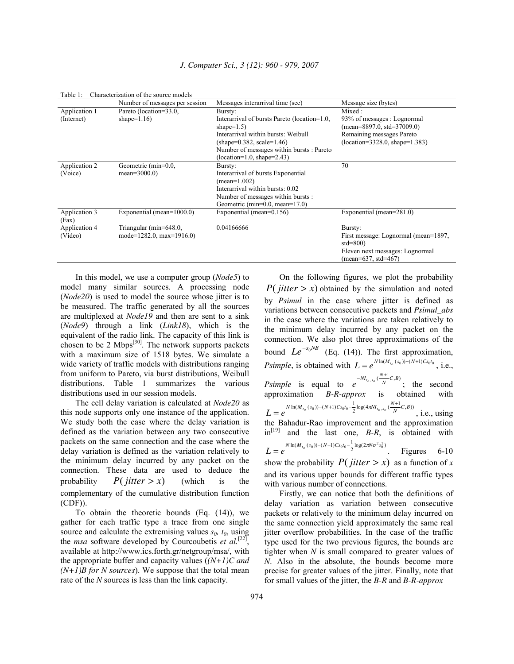|                        | Number of messages per session   | Messages interarrival time (sec)             | Message size (bytes)                              |
|------------------------|----------------------------------|----------------------------------------------|---------------------------------------------------|
| Application 1          | Pareto (location=33.0,           | Bursty:                                      | Mixed:                                            |
| (Internet)             | shape= $1.16$ )                  | Interarrival of bursts Pareto (location=1.0, | 93% of messages : Lognormal                       |
|                        |                                  | shape= $1.5$ )                               | $(mean=8897.0, std=37009.0)$                      |
|                        |                                  | Interarrival within bursts: Weibull          | Remaining messages Pareto                         |
|                        |                                  | $(shape=0.382, scale=1.46)$                  | $(location=3328.0, shape=1.383)$                  |
|                        |                                  | Number of messages within bursts: Pareto     |                                                   |
|                        |                                  | $(location=1.0, shape=2.43)$                 |                                                   |
| Application 2          | Geometric (min=0.0,              | Bursty:                                      | 70                                                |
| (Voice)                | mean= $3000.0$ )                 | Interarrival of bursts Exponential           |                                                   |
|                        |                                  | $(mean=1.002)$                               |                                                   |
|                        |                                  | Interarrival within bursts: 0.02             |                                                   |
|                        |                                  | Number of messages within bursts :           |                                                   |
|                        |                                  | Geometric (min=0.0, mean=17.0)               |                                                   |
| Application 3<br>(Fax) | Exponential (mean= $1000.0$ )    | Exponential (mean= $0.156$ )                 | Exponential (mean=281.0)                          |
| Application 4          | Triangular (min=648.0,           | 0.04166666                                   | Bursty:                                           |
| (Video)                | mode= $1282.0$ , max= $1916.0$ ) |                                              | First message: Lognormal (mean=1897,<br>$std=800$ |
|                        |                                  |                                              | Eleven next messages: Lognormal                   |
|                        |                                  |                                              | (mean= $637$ , std= $467$ )                       |

Table 1: Characterization of the source models

In this model, we use a computer group (*Node5*) to model many similar sources. A processing node (*Node20*) is used to model the source whose jitter is to be measured. The traffic generated by all the sources are multiplexed at *Node19* and then are sent to a sink (*Node9*) through a link (*Link18*), which is the equivalent of the radio link. The capacity of this link is chosen to be 2 Mbps<sup>[30]</sup>. The network supports packets with a maximum size of 1518 bytes. We simulate a wide variety of traffic models with distributions ranging from uniform to Pareto, via burst distributions, Weibull distributions. Table 1 summarizes the various distributions used in our session models.

 The cell delay variation is calculated at *Node20* as this node supports only one instance of the application. We study both the case where the delay variation is defined as the variation between any two consecutive packets on the same connection and the case where the delay variation is defined as the variation relatively to the minimum delay incurred by any packet on the connection. These data are used to deduce the probability  $P(jitter > x)$  (which is the complementary of the cumulative distribution function (CDF)).

 To obtain the theoretic bounds (Eq. (14)), we gather for each traffic type a trace from one single source and calculate the extremising values  $s_0$ ,  $t_0$ , using the *msa* software developed by Courcoubetis *et al.*<sup>[22]</sup>, available at http://www.ics.forth.gr/netgroup/msa/, with the appropriate buffer and capacity values (*(N+1)C and (N+1)B for N sources*). We suppose that the total mean rate of the *N* sources is less than the link capacity.

 On the following figures, we plot the probability  $P(jitter > x)$  obtained by the simulation and noted by *Psimul* in the case where jitter is defined as variations between consecutive packets and *Psimul\_abs*  in the case where the variations are taken relatively to the minimum delay incurred by any packet on the connection. We also plot three approximations of the bound  $Le^{-s_0NB}$  (Eq. (14)). The first approximation, *Psimple*, is obtained with  $L = e^{N \ln(M_{t_o}(s_0)) - (N+1)Cs_0t_0}$ , i.e., *Psimple* is equal to  $e^{-N I_{t_o, s_o}(\frac{N+1}{N}C, B)}$  $e^{-N}I_{t_o,s_o}$   $\left(\frac{N}{I}\right)$  $-NI_{t_o,s_o}(\frac{N+1}{N}C,B)$ ; the second approximation *B-R-approx* is obtained with  $\frac{1}{2} \log (4 \pi N I_{t_o, s_o} (\frac{N+1}{N} C, B))$  $\ln(M_{t_o}(s_0))-(N+1)Cs_0t_0-\frac{1}{2}\log(4\pi NI_{t_o,s_o}(\frac{N+1}{N}C,B))$  $L = e^{N \ln(M_{t_o}(s_0)) - (N+1)Cs_0t_0 - \frac{1}{2}\log(4\pi N I_{t_o,s_o}(N))}$  $=e^{N\ln(M_{t_o}(s_0))-(N+1)Cs_0t_0-\frac{1}{2}\log(4\pi N I_{t_o,s_o}(\frac{N+1}{N}C,B))},$  i.e., using the Bahadur-Rao improvement and the approximation in[19] and the last one, *B-R*, is obtained with  $\frac{1}{2}$ log(2 $\pi$ N $\sigma$ <sup>2</sup>s<sub>0</sub><sup>2</sup>)  $L = e^{N \ln(M_{t_o}(s_0)) - (N+1)Cs_0t_0 - \frac{1}{2}\log(2\pi N\sigma^2 s_0^2)}$ . Figures 6-10 show the probability  $P(jitter > x)$  as a function of x and its various upper bounds for different traffic types with various number of connections.

 Firstly, we can notice that both the definitions of delay variation as variation between consecutive packets or relatively to the minimum delay incurred on the same connection yield approximately the same real jitter overflow probabilities. In the case of the traffic type used for the two previous figures, the bounds are tighter when *N* is small compared to greater values of *N*. Also in the absolute, the bounds become more precise for greater values of the jitter. Finally, note that for small values of the jitter, the *B-R* and *B-R-approx*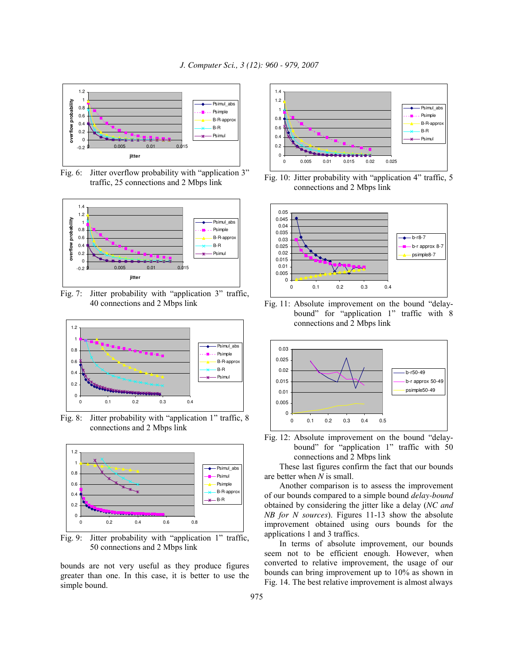

Fig. 6: Jitter overflow probability with "application 3" traffic, 25 connections and 2 Mbps link



Fig. 7: Jitter probability with "application 3" traffic, 40 connections and 2 Mbps link



Fig. 8: Jitter probability with "application 1" traffic, 8 connections and 2 Mbps link



Fig. 9: Jitter probability with "application 1" traffic, 50 connections and 2 Mbps link

bounds are not very useful as they produce figures greater than one. In this case, it is better to use the simple bound.



Fig. 10: Jitter probability with "application 4" traffic, 5 connections and 2 Mbps link



Fig. 11: Absolute improvement on the bound "delaybound" for "application 1" traffic with 8 connections and 2 Mbps link



Fig. 12: Absolute improvement on the bound "delaybound" for "application 1" traffic with 50 connections and 2 Mbps link

 These last figures confirm the fact that our bounds are better when *N* is small.

 Another comparison is to assess the improvement of our bounds compared to a simple bound *delay-bound* obtained by considering the jitter like a delay (*NC and NB for N sources*). Figures 11-13 show the absolute improvement obtained using ours bounds for the applications 1 and 3 traffics.

 In terms of absolute improvement, our bounds seem not to be efficient enough. However, when converted to relative improvement, the usage of our bounds can bring improvement up to 10% as shown in Fig. 14. The best relative improvement is almost always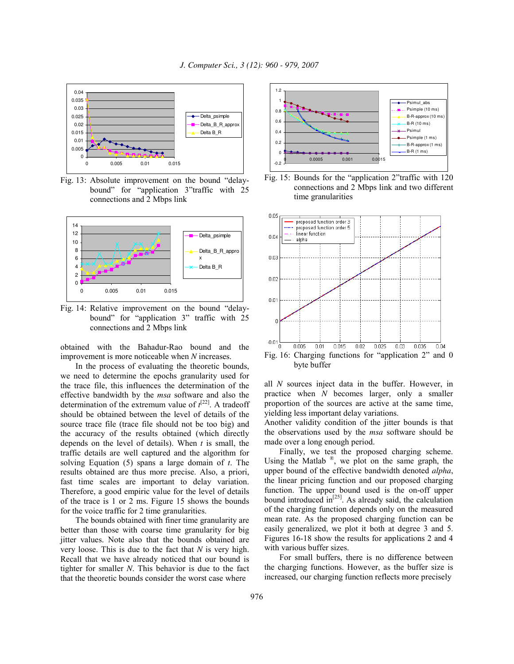

Fig. 13: Absolute improvement on the bound "delaybound" for "application 3"traffic with 25 connections and 2 Mbps link



Fig. 14: Relative improvement on the bound "delaybound" for "application 3" traffic with 25 connections and 2 Mbps link

obtained with the Bahadur-Rao bound and the improvement is more noticeable when *N* increases.

 In the process of evaluating the theoretic bounds, we need to determine the epochs granularity used for the trace file, this influences the determination of the effective bandwidth by the *msa* software and also the determination of the extremum value of  $t^{[22]}$ . A tradeoff should be obtained between the level of details of the source trace file (trace file should not be too big) and the accuracy of the results obtained (which directly depends on the level of details). When *t* is small, the traffic details are well captured and the algorithm for solving Equation (5) spans a large domain of *t*. The results obtained are thus more precise. Also, a priori, fast time scales are important to delay variation. Therefore, a good empiric value for the level of details of the trace is 1 or 2 ms. Figure 15 shows the bounds for the voice traffic for 2 time granularities.

 The bounds obtained with finer time granularity are better than those with coarse time granularity for big jitter values. Note also that the bounds obtained are very loose. This is due to the fact that *N* is very high. Recall that we have already noticed that our bound is tighter for smaller *N*. This behavior is due to the fact that the theoretic bounds consider the worst case where



Fig. 15: Bounds for the "application 2"traffic with 120 connections and 2 Mbps link and two different time granularities



all *N* sources inject data in the buffer. However, in practice when *N* becomes larger, only a smaller proportion of the sources are active at the same time, yielding less important delay variations.

Another validity condition of the jitter bounds is that the observations used by the *msa* software should be made over a long enough period.

 Finally, we test the proposed charging scheme. Using the Matlab<sup>®</sup>, we plot on the same graph, the upper bound of the effective bandwidth denoted *alpha*, the linear pricing function and our proposed charging function. The upper bound used is the on-off upper bound introduced  $\overrightarrow{in}^{[25]}$ . As already said, the calculation of the charging function depends only on the measured mean rate. As the proposed charging function can be easily generalized, we plot it both at degree 3 and 5. Figures 16-18 show the results for applications 2 and 4 with various buffer sizes.

 For small buffers, there is no difference between the charging functions. However, as the buffer size is increased, our charging function reflects more precisely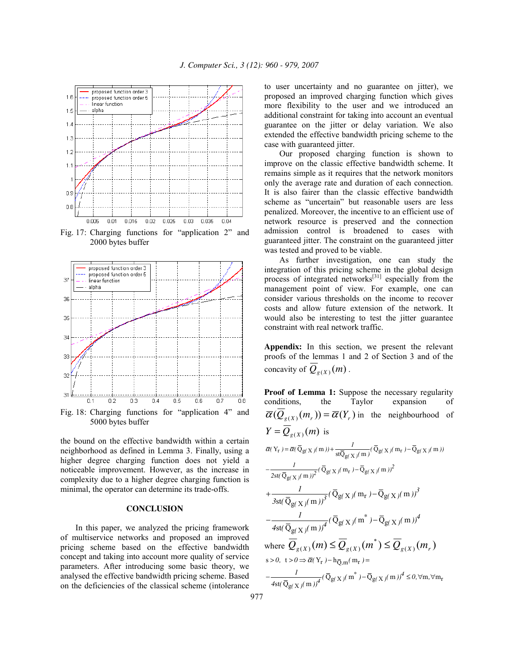

Fig. 17: Charging functions for "application 2" and 2000 bytes buffer



Fig. 18: Charging functions for "application 4" and 5000 bytes buffer

the bound on the effective bandwidth within a certain neighborhood as defined in Lemma 3. Finally, using a higher degree charging function does not yield a noticeable improvement. However, as the increase in complexity due to a higher degree charging function is minimal, the operator can determine its trade-offs.

#### **CONCLUSION**

 In this paper, we analyzed the pricing framework of multiservice networks and proposed an improved pricing scheme based on the effective bandwidth concept and taking into account more quality of service parameters. After introducing some basic theory, we analysed the effective bandwidth pricing scheme. Based on the deficiencies of the classical scheme (intolerance to user uncertainty and no guarantee on jitter), we proposed an improved charging function which gives more flexibility to the user and we introduced an additional constraint for taking into account an eventual guarantee on the jitter or delay variation. We also extended the effective bandwidth pricing scheme to the case with guaranteed jitter.

 Our proposed charging function is shown to improve on the classic effective bandwidth scheme. It remains simple as it requires that the network monitors only the average rate and duration of each connection. It is also fairer than the classic effective bandwidth scheme as "uncertain" but reasonable users are less penalized. Moreover, the incentive to an efficient use of network resource is preserved and the connection admission control is broadened to cases with guaranteed jitter. The constraint on the guaranteed jitter was tested and proved to be viable.

 As further investigation, one can study the integration of this pricing scheme in the global design process of integrated networks<sup>[31]</sup> especially from the management point of view. For example, one can consider various thresholds on the income to recover costs and allow future extension of the network. It would also be interesting to test the jitter guarantee constraint with real network traffic.

**Appendix:** In this section, we present the relevant proofs of the lemmas 1 and 2 of Section 3 and of the concavity of  $\overline{Q}_{g(X)}(m)$ .

Proof of Lemma 1: Suppose the necessary regularity conditions, the Taylor expansion of  $\overline{\alpha}(Q_{g(X)}(m_r)) = \overline{\alpha}(Y_r)$  in the neighbourhood of  $Y = \overline{Q}_{g(X)}(m)$  is  $Y_r$ ) =  $\bar{\alpha}(Q_{g(X)}(m))$  +  $\frac{1}{\text{stQ}_{g(X)}(m)}(Q_{g(X)}(m_r) - Q_{g(X)}(m_r))$  $\frac{1}{\left(g(X)\right)^2}$  (  $Q_g(X)$  m<sub>r</sub>  $y - Q_g(X)$  $\frac{1}{\text{st}(\overline{Q}_{g(X)}(m))^2} (Q_{g(X)}(m_r) - Q_{g(X)}(m_r))$  $\frac{1}{(X)(m))^2}$  (  $\overline{Q}_{g(X)}(m_r) - \overline{Q}_{g(X)}(m_t)^2$  $\overline{\alpha}(Y_r) = \overline{\alpha}(\overline{Q}_{g(X)}(m)) + \frac{1}{st\overline{Q}_{g(X)}(m)}(\overline{Q}_{g(X)}(m_r) - \overline{Q}_{g(X)}(m))$  $-\frac{1}{2\mathrm{st}(\bar{Q}_{g(X)}(m))^2}(\bar{Q}_{g(X)}(m_r)-\bar{Q}_{g(X)}(m))$  $g(X)$ (  $m_r$  ) –  $Qg(X)$ g( X  $g(X)$ (  $m$  ) –  $Qg(X)$  $g(X)$  $Q_{\mathfrak{g}}(X)$  (  $m_r$  ) –  $Q_{\mathfrak{g}}(X)$  (  $m_r$ st( $Q_{\mathfrak{g}}(X)$ (m)  $Q_{\mathfrak{g}}(x)$  ( m  $\rightarrow$  ) –  $Q_{\mathfrak{g}}(x)$  ( m st( $Q_{\mathfrak{g}}(X)$ (m  $\frac{1}{(X)(m)})^3$  (  $\overline{Q}_{g(X)}(m_r) - \overline{Q}_{g(X)}(m))^3$  $\frac{1}{(X)(m)}( \overline{Q}_{g(X)}(m^*) - \overline{Q}_{g(X)}(m) )^4$  $\frac{1}{\sqrt{2}}$  (  $\overline{Q}_{g(X)}(m_r) - \overline{Q}_{g(X)}(m_r)$  $3st(Q_{g(X)}(m))$  $\frac{1}{\sqrt{2}}$  (  $\overline{Q}_{g(X)}(m^*) - \overline{Q}_{g(X)}(m)$ )  $4st(Q_{g(X)}(m))$  $+\frac{1}{\sqrt{2}}(Q_{g(X)}(m_r) -\frac{1}{I}(\mathbf{Q}_{\mathbf{g}}(\mathbf{X})(\mathbf{m}^{\mathbf{v}})$ where  $Q_{g(X)}(m) \leq Q_{g(X)}(m^*) \leq Q_{g(X)}(m_r)$  $\overline{Q}_{g(X)}(m) \leq \overline{Q}_{g(X)}(m^*) \leq \overline{Q}_{g(X)}(m_r)$  $s > 0$ ,  $t > 0 \Rightarrow \overline{\alpha}(Y_r) - h_{\overline{Q}, m}(m_r) =$  $g(X)$  ( m  $\left|f - Q_{g(X)}(m) \right| \leq 0$ ,  $\forall m, \forall m_r$  $g(X)$  $Q_{\mathfrak{g}(\mathbf{X})}(\mathbf{m}) - Q_{\mathfrak{g}(\mathbf{X})}(\mathbf{m})^4 \leq 0$ ,  $\forall \mathbf{m}, \forall \mathbf{m}_r$ st( $Q_{\mathfrak{g}/X}$ )(m  $\frac{1}{(X) (m)j^4} (\bar{Q}_{g(X)}(m^*) - \bar{Q}_{g(X)}(m))^4$  $\frac{1}{\sqrt{2}}$  (  $\overline{Q}_{\sigma(X)}(m^*) - \overline{Q}_{\sigma(X)}(m^*)^4 \le 0$ ,  $\forall m$ , *4 ( ( ))*  $-\frac{1}{\sqrt{2\pi}}\left(\overline{Q}_{\sigma(X)}(m^{\dagger})-\overline{Q}_{\sigma(X)}(m)\right)^{4}\leq 0, \forall m, \forall$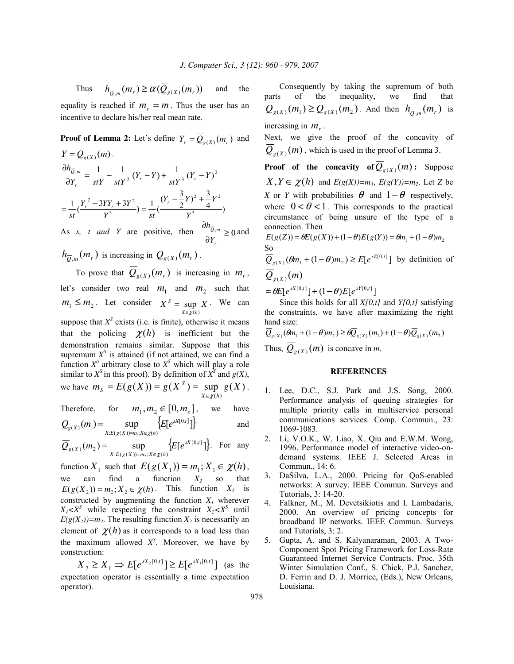Thus  $h_{\overline{Q},m}(m_r) \ge \overline{\alpha}(Q_{g(X)}(m_r))$  and the equality is reached if  $m_r = m$ . Thus the user has an incentive to declare his/her real mean rate.

**Proof of Lemma 2:** Let's define  $Y_r = Q_{g(X)}(m_r)$  and

$$
Y = Q_{g(X)}(m).
$$
  
\n
$$
\frac{\partial h_{\overline{Q},m}}{\partial Y_r} = \frac{1}{stY} - \frac{1}{stY^2} (Y_r - Y) + \frac{1}{stY^3} (Y_r - Y)^2
$$
  
\n
$$
= \frac{1}{st} (\frac{Y_r^2 - 3YY_r + 3Y^2}{Y^3}) = \frac{1}{st} (\frac{(Y_r - \frac{3}{2}Y)^2 + \frac{3}{4}Y^2}{Y^3})
$$
  
\nAs *s*, *t* and *Y* are positive, then  $\frac{\partial h_{\overline{Q},m}}{\partial Y_r} \ge 0$  and

 $h_{\overline{Q},m}(m_r)$  is increasing in  $Q_{g(X)}(m_r)$ .

To prove that  $Q_{g(X)}(m_r)$  is increasing in  $m_r$ , let's consider two real  $m_1$  and  $m_2$  such that  $m_1 \leq m_2$ . Let consider  $X^s = \sup_{X \in \mathcal{X}(h)} X^s$ *S*  $=\sup_{X\in \chi(h)} X$ . We can suppose that  $X<sup>S</sup>$  exists (i.e. is finite), otherwise it means that the policing  $\gamma(h)$  is inefficient but the demonstration remains similar. Suppose that this supremum  $X<sup>S</sup>$  is attained (if not attained, we can find a function  $X^a$  arbitrary close to  $X^S$  which will play a role similar to  $X^S$  in this proof). By definition of  $X^S$  and  $g(X)$ , we have  $m_s = E(g(X)) = g(X^s) = \sup g(X)$  $(h)$  $m_s = E(g(X)) = g(X^s) = \sup g(X)$  $X \in \mathcal{X}(h)$ *S*  $S = L(g(A)) = g(A) = \text{St}_A$  $= E(g(X)) = g(X^s) = \sup g(X)$ .

Therefore, for  $m_1, m_2 \in [0, m_s]$ , we have

$$
\overline{Q}_{g(X)}(m_1) = \sup_{X: E(g(X)) = m_1; X \in \chi(h)} \{E[e^{sX[0,t]}]\}
$$
 and

$$
\overline{Q}_{g(X)}(m_2) = \sup_{X: E(g(X)) = m_2; X \in \mathcal{X}(h)} \{E[e^{sX[0,t]}]\}.
$$
 For any

function  $X_1$  such that  $E(g(X_1)) = m_1; X_1 \in \chi(h)$ , we can find a function  $X_2$  so that  $E(g(X_2)) = m_2; X_2 \in \chi(h)$ . This function  $X_2$  is constructed by augmenting the function  $X_I$  wherever  $X_1 < X^S$  while respecting the constraint  $X_2 < X^S$  until  $E(g(X_2))=m_2$ . The resulting function  $X_2$  is necessarily an element of  $\chi(h)$  as it corresponds to a load less than the maximum allowed  $X<sup>S</sup>$ . Moreover, we have by construction:

 $[e^{sX_2[0,t]}] \geq E[e^{sX_1[0,t]}]$  $X_2 \geq X_1 \Rightarrow E[e^{sX_2[0,t]}] \geq E[e^{sX_1[0,t]}]$  (as the expectation operator is essentially a time expectation operator).

 Consequently by taking the supremum of both parts of the inequality, we find that  $Q_{g(X)}(m_1) \geq Q_{g(X)}(m_2)$ . And then  $h_{\overline{Q},m}(m_r)$  is increasing in  $m_r$ .

Next, we give the proof of the concavity of  $Q_{\varrho(X)}(m)$ , which is used in the proof of Lemma 3.

**Proof** of the concavity of  $\overline{Q}_{g(X)}(m)$ : Suppose  $X, Y \in \chi(h)$  and  $E(g(X))=m_I$ ,  $E(g(Y))=m_2$ . Let *Z* be *X* or *Y* with probabilities  $\theta$  and  $1-\theta$  respectively, where  $0 < \theta < 1$ . This corresponds to the practical circumstance of being unsure of the type of a connection. Then

$$
E(g(Z)) = \theta E(g(X)) + (1 - \theta)E(g(Y)) = \theta m_1 + (1 - \theta)m_2
$$
  
So  

$$
\overline{Q}_{g(X)}(\theta m_1 + (1 - \theta)m_2) \ge E[e^{sZ[0,t]}]
$$
 by definition of  

$$
\overline{Q}_{g(X)}(m)
$$

$$
\mathcal{L}_{g(X)}(x)
$$
  
=  $\theta E[e^{sX[0,t]}]+(1-\theta)E[e^{sY[0,t]}]$ 

 Since this holds for all *X[0,t]* and *Y[0,t]* satisfying the constraints, we have after maximizing the right hand size:

 $\overline{Q}_{g(X)}(\theta m_1 + (1-\theta)m_2) \geq \theta \overline{Q}_{g(X)}(m_1) + (1-\theta)\overline{Q}_{g(X)}(m_2)$ Thus,  $\overline{Q}_{g(X)}(m)$  is concave in *m*.

#### **REFERENCES**

- 1. Lee, D.C., S.J. Park and J.S. Song, 2000. Performance analysis of queuing strategies for multiple priority calls in multiservice personal communications services. Comp. Commun., 23: 1069-1083.
- 2. Li, V.O.K., W. Liao, X. Qiu and E.W.M. Wong, 1996. Performance model of interactive video-ondemand systems. IEEE J. Selected Areas in Commun., 14: 6.
- 3. DaSilva, L.A., 2000. Pricing for QoS-enabled networks: A survey. IEEE Commun. Surveys and Tutorials, 3: 14-20.
- 4. Falkner, M., M. Devetsikiotis and I. Lambadaris, 2000. An overview of pricing concepts for broadband IP networks. IEEE Commun. Surveys and Tutorials, 3: 2.
- 5. Gupta, A. and S. Kalyanaraman, 2003. A Two-Component Spot Pricing Framework for Loss-Rate Guaranteed Internet Service Contracts. Proc. 35th Winter Simulation Conf., S. Chick, P.J. Sanchez, D. Ferrin and D. J. Morrice, (Eds.), New Orleans, Louisiana.